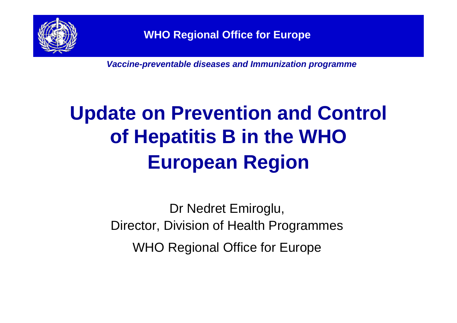

*Vaccine-preventable diseases and Immunization programme*

## **Update on Prevention and Control of Hepatitis B in the WHO European Region**

Dr Nedret Emiroglu, Director, Division of Health Programmes WHO Regional Office for Europe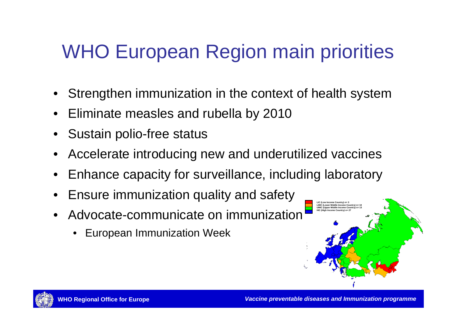## WHO European Region main priorities

- Strengthen immunization in the context of health system
- Eliminate measles and rubella by 2010
- Sustain polio-free status
- Accelerate introducing new and underutilized vaccines
- Enhance capacity for surveillance, including laboratory
- Ensure immunization quality and safety
- Advocate-communicate on immunization
	- European Immunization Week



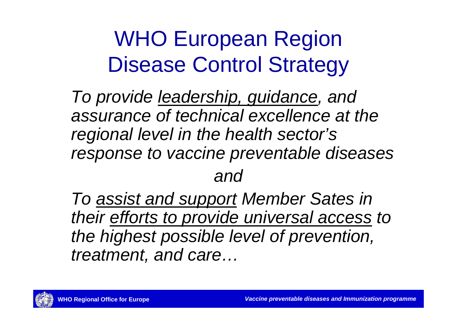# WHO European Region Disease Control Strategy

*To provide leadership, guidance, and assurance of technical excellence at the regional level in the health sector's response to vaccine preventable diseases and* 

*To assist and support Member Sates in their efforts to provide universal access to the highest possible level of prevention, treatment, and care…*

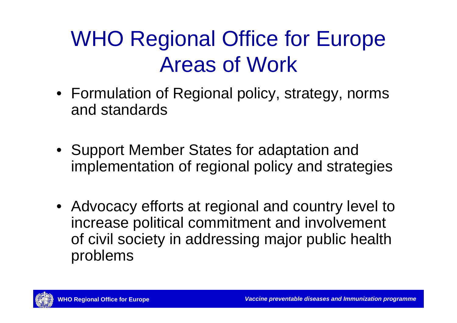# WHO Regional Office for Europe Areas of Work

- Formulation of Regional policy, strategy, norms and standards
- Support Member States for adaptation and implementation of regional policy and strategies
- Advocacy efforts at regional and country level to increase political commitment and involvement of civil society in addressing major public health problems

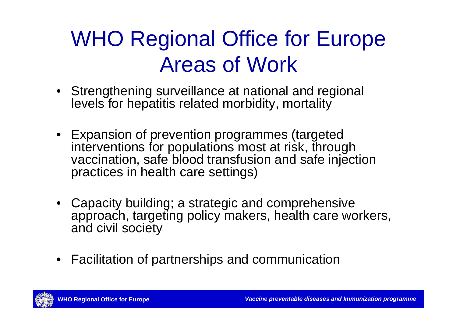## WHO Regional Office for Europe Areas of Work

- Strengthening surveillance at national and regional levels for hepatitis related morbidity, mortality
- Expansion of prevention programmes (targeted interventions for populations most at risk, through vaccination, safe blood transfusion and safe injection practices in health care settings)
- Capacity building; a strategic and comprehensive approach, targeting policy makers, health care workers, and civil society
- Facilitation of partnerships and communication

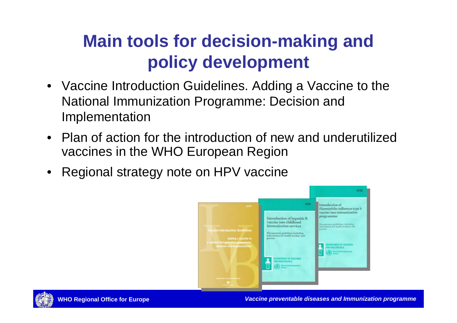#### **Main tools for decision-making and policy development**

- Vaccine Introduction Guidelines. Adding a Vaccine to the National Immunization Programme: Decision and Implementation
- Plan of action for the introduction of new and underutilized vaccines in the WHO European Region
- Regional strategy note on HPV vaccine



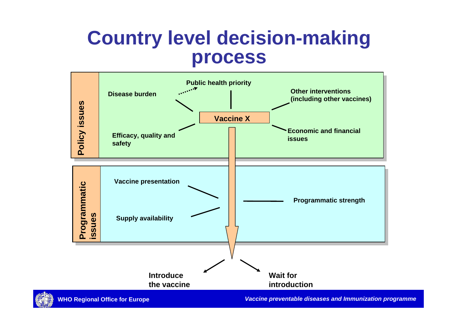#### **Country level decision-making process**



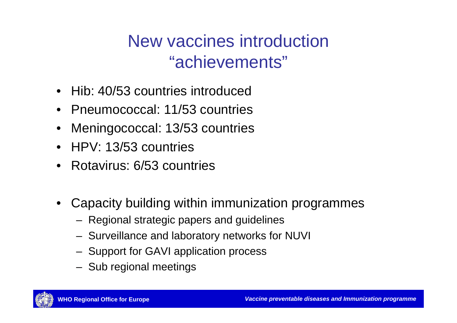New vaccines introduction "achievements"

- Hib: 40/53 countries introduced
- Pneumococcal: 11/53 countries
- Meningococcal: 13/53 countries
- HPV: 13/53 countries
- Rotavirus: 6/53 countries
- Capacity building within immunization programmes
	- Regional strategic papers and guidelines
	- Surveillance and laboratory networks for NUVI
	- Support for GAVI application process
	- Sub regional meetings

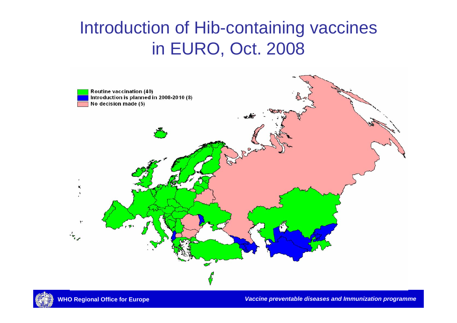#### Introduction of Hib-containing vaccines in EURO, Oct. 2008





**WHO Regional Office for Europe** *Vaccine preventable diseases and Immunization programme*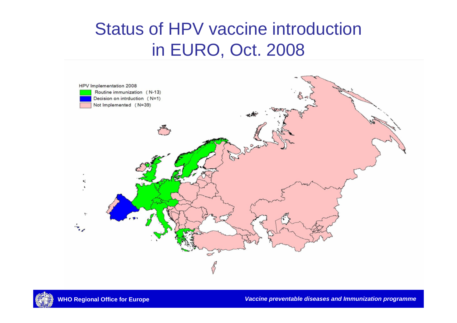#### Status of HPV vaccine introduction in EURO, Oct. 2008



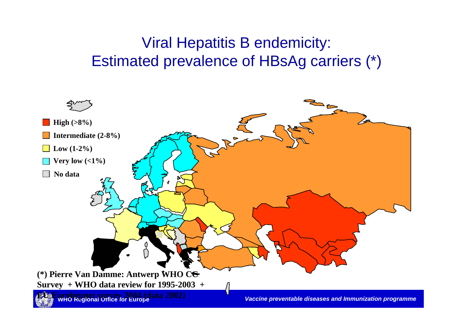#### Viral Hepatitis B endemicity: Estimated prevalence of HBsAg carriers (\*)

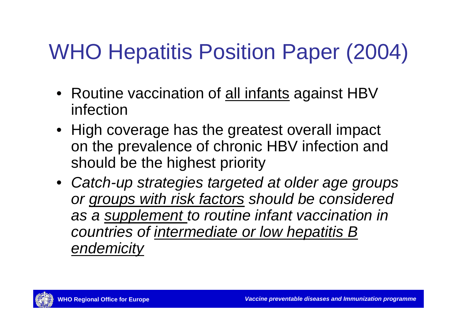# WHO Hepatitis Position Paper (2004)

- Routine vaccination of all infants against HBV infection
- High coverage has the greatest overall impact on the prevalence of chronic HBV infection and should be the highest priority
- *Catch-up strategies targeted at older age groups or groups with risk factors should be considered as a supplement to routine infant vaccination in countries of intermediate or low hepatitis B endemicity*

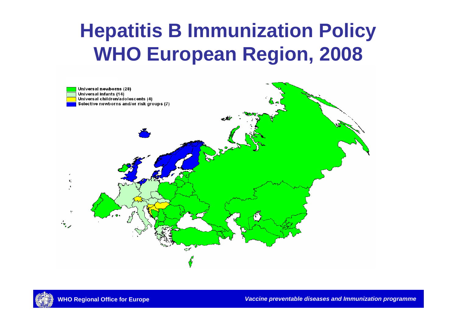### **Hepatitis B Immunization Policy WHO European Region, 2008**



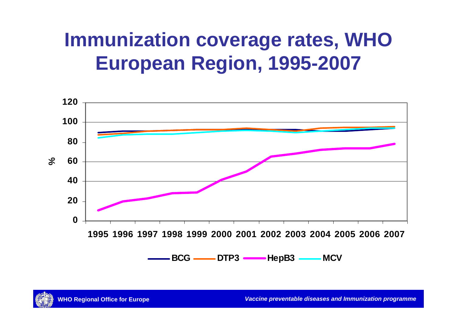## **Immunization coverage rates, WHO European Region, 1995-2007**



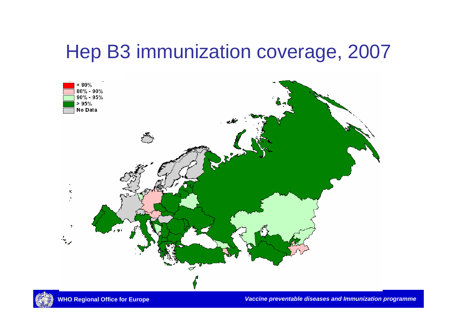#### Hep B3 immunization coverage, 2007





**WHO Regional Office for Europe** *Vaccine preventable diseases and Immunization programme*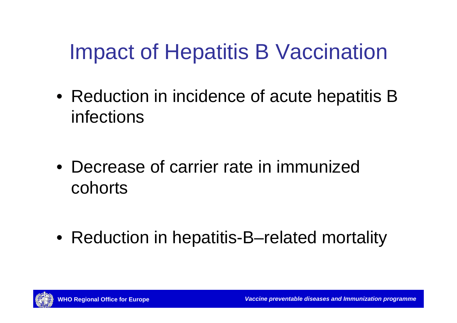## Impact of Hepatitis B Vaccination

• Reduction in incidence of acute hepatitis B infections

• Decrease of carrier rate in immunized cohorts

• Reduction in hepatitis-B–related mortality

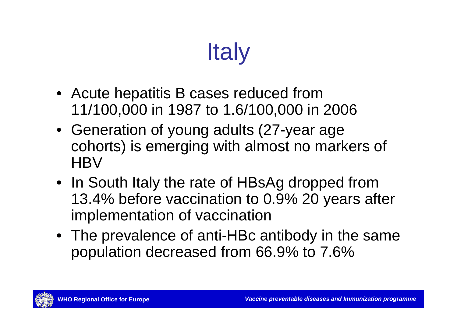# **Italy**

- Acute hepatitis B cases reduced from 11/100,000 in 1987 to 1.6/100,000 in 2006
- Generation of young adults (27-year age cohorts) is emerging with almost no markers of **HBV**
- In South Italy the rate of HBsAg dropped from 13.4% before vaccination to 0.9% 20 years after implementation of vaccination
- The prevalence of anti-HBc antibody in the same population decreased from 66.9% to 7.6%

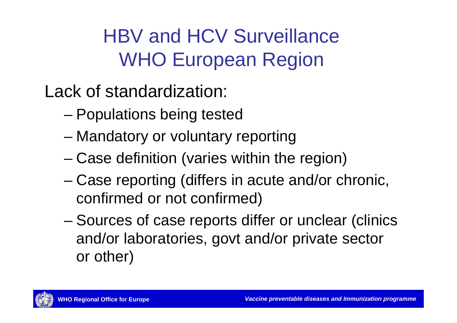## HBV and HCV Surveillance WHO European Region

- Lack of standardization:
	- Populations being tested
	- Mandatory or voluntary reporting
	- Case definition (varies within the region)
	- Case reporting (differs in acute and/or chronic, confirmed or not confirmed)
	- Sources of case reports differ or unclear (clinics and/or laboratories, govt and/or private sector or other)

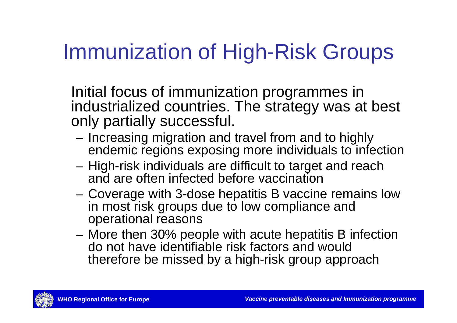## Immunization of High-Risk Groups

Initial focus of immunization programmes in industrialized countries. The strategy was at best only partially successful.

- Increasing migration and travel from and to highly endemic regions exposing more individuals to infection
- High-risk individuals are difficult to target and reach and are often infected before vaccination
- Coverage with 3-dose hepatitis B vaccine remains low in most risk groups due to low compliance and operational reasons
- More then 30% people with acute hepatitis B infection do not have identifiable risk factors and would therefore be missed by a high-risk group approach

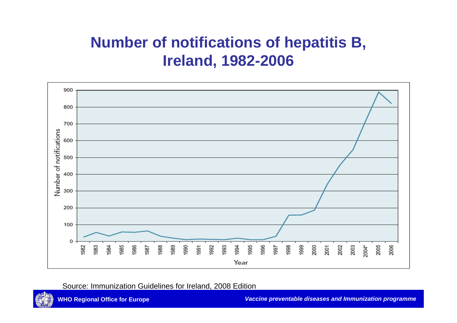#### **Number of notifications of hepatitis B, Ireland, 1982-2006**



Source: Immunization Guidelines for Ireland, 2008 Edition

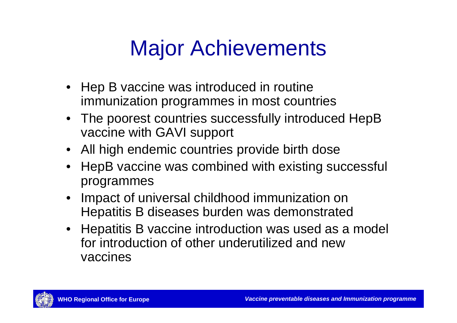# Major Achievements

- Hep B vaccine was introduced in routine immunization programmes in most countries
- The poorest countries successfully introduced HepB vaccine with GAVI support
- All high endemic countries provide birth dose
- HepB vaccine was combined with existing successful programmes
- Impact of universal childhood immunization on Hepatitis B diseases burden was demonstrated
- Hepatitis B vaccine introduction was used as a model for introduction of other underutilized and new vaccines